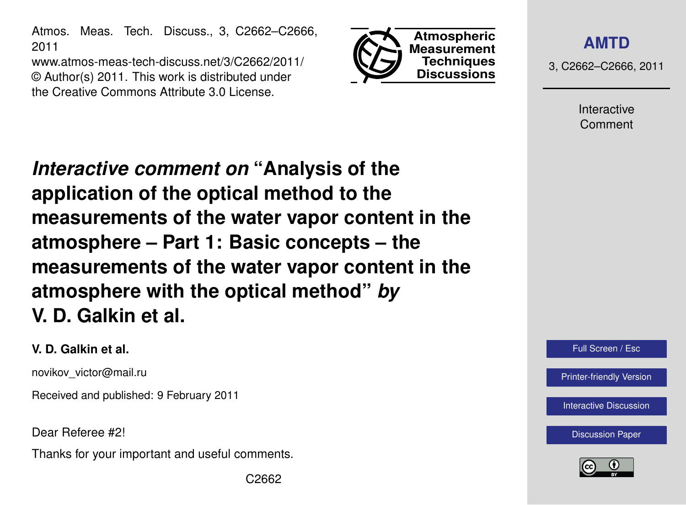Atmos. Meas. Tech. Discuss., 3, C2662–C2666, 2011

www.atmos-meas-tech-discuss.net/3/C2662/2011/ © Author(s) 2011. This work is distributed under the Creative Commons Attribute 3.0 License.



**[AMTD](http://www.atmos-meas-tech-discuss.net)**

3, C2662–C2666, 2011

Interactive Comment

*Interactive comment on* **"Analysis of the application of the optical method to the measurements of the water vapor content in the atmosphere – Part 1: Basic concepts – the measurements of the water vapor content in the atmosphere with the optical method"** *by* **V. D. Galkin et al.**

#### **V. D. Galkin et al.**

novikov\_victor@mail.ru

Received and published: 9 February 2011

Dear Referee #2!

Thanks for your important and useful comments.



[Printer-friendly Version](http://www.atmos-meas-tech-discuss.net/3/C2662/2011/amtd-3-C2662-2011-print.pdf)

[Interactive Discussion](http://www.atmos-meas-tech-discuss.net/3/5705/2010/amtd-3-5705-2010-discussion.html)

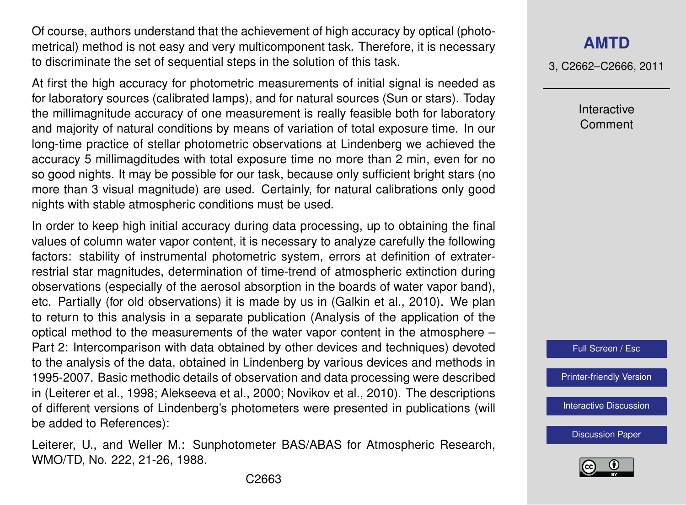Of course, authors understand that the achievement of high accuracy by optical (photometrical) method is not easy and very multicomponent task. Therefore, it is necessary to discriminate the set of sequential steps in the solution of this task.

At first the high accuracy for photometric measurements of initial signal is needed as for laboratory sources (calibrated lamps), and for natural sources (Sun or stars). Today the millimagnitude accuracy of one measurement is really feasible both for laboratory and majority of natural conditions by means of variation of total exposure time. In our long-time practice of stellar photometric observations at Lindenberg we achieved the accuracy 5 millimagditudes with total exposure time no more than 2 min, even for no so good nights. It may be possible for our task, because only sufficient bright stars (no more than 3 visual magnitude) are used. Certainly, for natural calibrations only good nights with stable atmospheric conditions must be used.

In order to keep high initial accuracy during data processing, up to obtaining the final values of column water vapor content, it is necessary to analyze carefully the following factors: stability of instrumental photometric system, errors at definition of extraterrestrial star magnitudes, determination of time-trend of atmospheric extinction during observations (especially of the aerosol absorption in the boards of water vapor band), etc. Partially (for old observations) it is made by us in (Galkin et al., 2010). We plan to return to this analysis in a separate publication (Analysis of the application of the optical method to the measurements of the water vapor content in the atmosphere – Part 2: Intercomparison with data obtained by other devices and techniques) devoted to the analysis of the data, obtained in Lindenberg by various devices and methods in 1995-2007. Basic methodic details of observation and data processing were described in (Leiterer et al., 1998; Alekseeva et al., 2000; Novikov et al., 2010). The descriptions of different versions of Lindenberg's photometers were presented in publications (will be added to References):

Leiterer, U., and Weller M.: Sunphotometer BAS/ABAS for Atmospheric Research, WMO/TD, No. 222, 21-26, 1988.

#### **[AMTD](http://www.atmos-meas-tech-discuss.net)**

3, C2662–C2666, 2011

Interactive Comment

Full Screen / Esc

[Printer-friendly Version](http://www.atmos-meas-tech-discuss.net/3/C2662/2011/amtd-3-C2662-2011-print.pdf)

[Interactive Discussion](http://www.atmos-meas-tech-discuss.net/3/5705/2010/amtd-3-5705-2010-discussion.html)

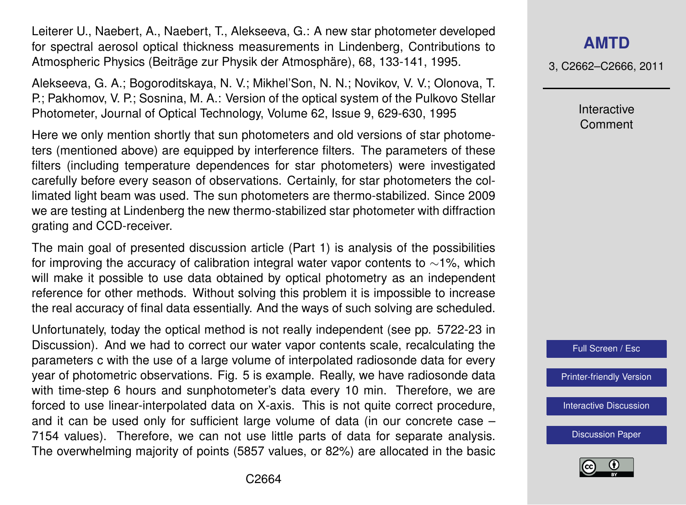Leiterer U., Naebert, A., Naebert, T., Alekseeva, G.: A new star photometer developed for spectral aerosol optical thickness measurements in Lindenberg, Contributions to Atmospheric Physics (Beiträge zur Physik der Atmosphäre), 68, 133-141, 1995.

Alekseeva, G. A.; Bogoroditskaya, N. V.; Mikhel'Son, N. N.; Novikov, V. V.; Olonova, T. P.; Pakhomov, V. P.; Sosnina, M. A.: Version of the optical system of the Pulkovo Stellar Photometer, Journal of Optical Technology, Volume 62, Issue 9, 629-630, 1995

Here we only mention shortly that sun photometers and old versions of star photometers (mentioned above) are equipped by interference filters. The parameters of these filters (including temperature dependences for star photometers) were investigated carefully before every season of observations. Certainly, for star photometers the collimated light beam was used. The sun photometers are thermo-stabilized. Since 2009 we are testing at Lindenberg the new thermo-stabilized star photometer with diffraction grating and CCD-receiver.

The main goal of presented discussion article (Part 1) is analysis of the possibilities for improving the accuracy of calibration integral water vapor contents to ∼1%, which will make it possible to use data obtained by optical photometry as an independent reference for other methods. Without solving this problem it is impossible to increase the real accuracy of final data essentially. And the ways of such solving are scheduled.

Unfortunately, today the optical method is not really independent (see pp. 5722-23 in Discussion). And we had to correct our water vapor contents scale, recalculating the parameters c with the use of a large volume of interpolated radiosonde data for every year of photometric observations. Fig. 5 is example. Really, we have radiosonde data with time-step 6 hours and sunphotometer's data every 10 min. Therefore, we are forced to use linear-interpolated data on X-axis. This is not quite correct procedure, and it can be used only for sufficient large volume of data (in our concrete case – 7154 values). Therefore, we can not use little parts of data for separate analysis. The overwhelming majority of points (5857 values, or 82%) are allocated in the basic

## **[AMTD](http://www.atmos-meas-tech-discuss.net)**

3, C2662–C2666, 2011

Interactive Comment



[Printer-friendly Version](http://www.atmos-meas-tech-discuss.net/3/C2662/2011/amtd-3-C2662-2011-print.pdf)

[Interactive Discussion](http://www.atmos-meas-tech-discuss.net/3/5705/2010/amtd-3-5705-2010-discussion.html)

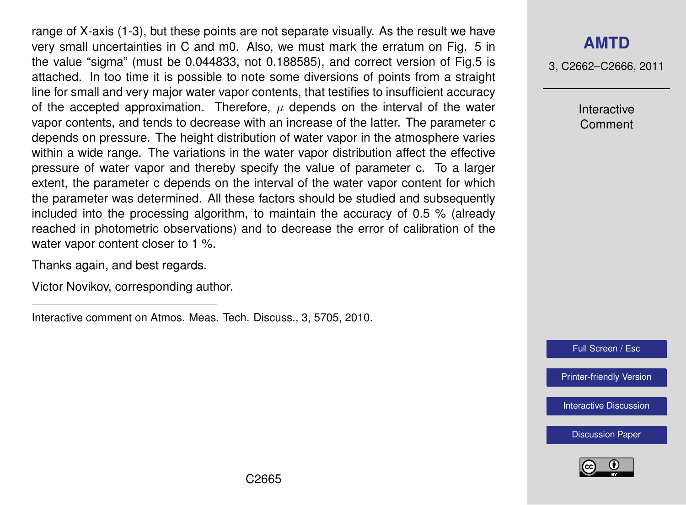range of X-axis (1-3), but these points are not separate visually. As the result we have very small uncertainties in C and m0. Also, we must mark the erratum on Fig. 5 in the value "sigma" (must be 0.044833, not 0.188585), and correct version of Fig.5 is attached. In too time it is possible to note some diversions of points from a straight line for small and very major water vapor contents, that testifies to insufficient accuracy of the accepted approximation. Therefore,  $\mu$  depends on the interval of the water vapor contents, and tends to decrease with an increase of the latter. The parameter c depends on pressure. The height distribution of water vapor in the atmosphere varies within a wide range. The variations in the water vapor distribution affect the effective pressure of water vapor and thereby specify the value of parameter c. To a larger extent, the parameter c depends on the interval of the water vapor content for which the parameter was determined. All these factors should be studied and subsequently included into the processing algorithm, to maintain the accuracy of 0.5 % (already reached in photometric observations) and to decrease the error of calibration of the water vapor content closer to 1 %.

Thanks again, and best regards.

Victor Novikov, corresponding author.

Interactive comment on Atmos. Meas. Tech. Discuss., 3, 5705, 2010.

## **[AMTD](http://www.atmos-meas-tech-discuss.net)**

3, C2662–C2666, 2011

Interactive Comment

Full Screen / Esc

[Printer-friendly Version](http://www.atmos-meas-tech-discuss.net/3/C2662/2011/amtd-3-C2662-2011-print.pdf)

[Interactive Discussion](http://www.atmos-meas-tech-discuss.net/3/5705/2010/amtd-3-5705-2010-discussion.html)